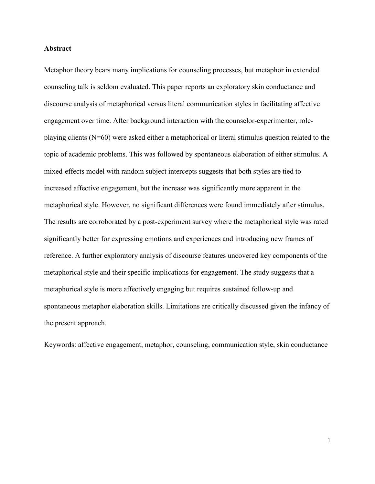**This is the Pre-Published Version.**

This is an Accepted Manuscript of an article published by Taylor & Francis in Discourse Processes on 19 Nov 2019 (online), available online: http://www.tandfonline.com/10.1080/0163853X.2019.1689086. The following publication Tay, D. (2020). Affective engagement in metaphorical versus literal communication styles in counseling. Discourse Processes, 57(4), 360-375 is available at https://dx.doi.org/10.1080/0163853X.2019.1689086

#### **Abstract**

Metaphor theory bears many implications for counseling processes, but metaphor in extended counseling talk is seldom evaluated. This paper reports an exploratory skin conductance and discourse analysis of metaphorical versus literal communication styles in facilitating affective engagement over time. After background interaction with the counselor-experimenter, roleplaying clients (N=60) were asked either a metaphorical or literal stimulus question related to the topic of academic problems. This was followed by spontaneous elaboration of either stimulus. A mixed-effects model with random subject intercepts suggests that both styles are tied to increased affective engagement, but the increase was significantly more apparent in the metaphorical style. However, no significant differences were found immediately after stimulus. The results are corroborated by a post-experiment survey where the metaphorical style was rated significantly better for expressing emotions and experiences and introducing new frames of reference. A further exploratory analysis of discourse features uncovered key components of the metaphorical style and their specific implications for engagement. The study suggests that a metaphorical style is more affectively engaging but requires sustained follow-up and spontaneous metaphor elaboration skills. Limitations are critically discussed given the infancy of the present approach.

Keywords: affective engagement, metaphor, counseling, communication style, skin conductance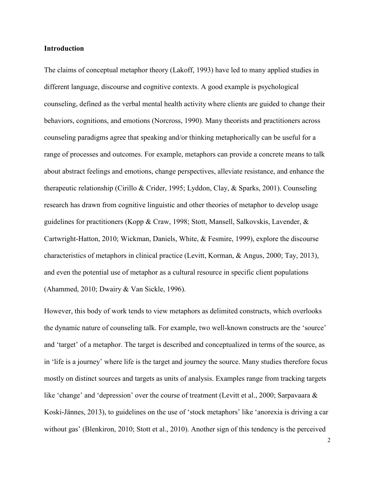#### **Introduction**

The claims of conceptual metaphor theory (Lakoff, 1993) have led to many applied studies in different language, discourse and cognitive contexts. A good example is psychological counseling, defined as the verbal mental health activity where clients are guided to change their behaviors, cognitions, and emotions (Norcross, 1990). Many theorists and practitioners across counseling paradigms agree that speaking and/or thinking metaphorically can be useful for a range of processes and outcomes. For example, metaphors can provide a concrete means to talk about abstract feelings and emotions, change perspectives, alleviate resistance, and enhance the therapeutic relationship (Cirillo & Crider, 1995; Lyddon, Clay, & Sparks, 2001). Counseling research has drawn from cognitive linguistic and other theories of metaphor to develop usage guidelines for practitioners (Kopp & Craw, 1998; Stott, Mansell, Salkovskis, Lavender, & Cartwright-Hatton, 2010; Wickman, Daniels, White, & Fesmire, 1999), explore the discourse characteristics of metaphors in clinical practice (Levitt, Korman, & Angus, 2000; Tay, 2013), and even the potential use of metaphor as a cultural resource in specific client populations (Ahammed, 2010; Dwairy & Van Sickle, 1996).

However, this body of work tends to view metaphors as delimited constructs, which overlooks the dynamic nature of counseling talk. For example, two well-known constructs are the 'source' and 'target' of a metaphor. The target is described and conceptualized in terms of the source, as in 'life is a journey' where life is the target and journey the source. Many studies therefore focus mostly on distinct sources and targets as units of analysis. Examples range from tracking targets like 'change' and 'depression' over the course of treatment (Levitt et al., 2000; Sarpavaara & Koski-Jännes, 2013), to guidelines on the use of 'stock metaphors' like 'anorexia is driving a car without gas' (Blenkiron, 2010; Stott et al., 2010). Another sign of this tendency is the perceived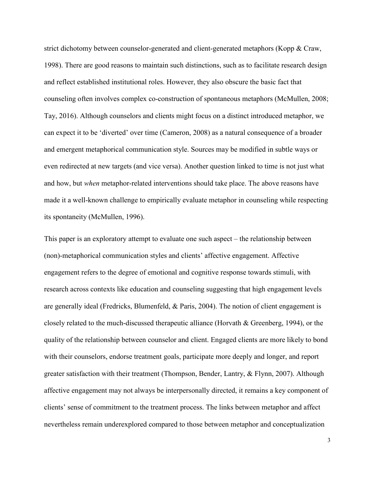strict dichotomy between counselor-generated and client-generated metaphors (Kopp & Craw, 1998). There are good reasons to maintain such distinctions, such as to facilitate research design and reflect established institutional roles. However, they also obscure the basic fact that counseling often involves complex co-construction of spontaneous metaphors (McMullen, 2008; Tay, 2016). Although counselors and clients might focus on a distinct introduced metaphor, we can expect it to be 'diverted' over time (Cameron, 2008) as a natural consequence of a broader and emergent metaphorical communication style. Sources may be modified in subtle ways or even redirected at new targets (and vice versa). Another question linked to time is not just what and how, but *when* metaphor-related interventions should take place. The above reasons have made it a well-known challenge to empirically evaluate metaphor in counseling while respecting its spontaneity (McMullen, 1996).

This paper is an exploratory attempt to evaluate one such aspect – the relationship between (non)-metaphorical communication styles and clients' affective engagement. Affective engagement refers to the degree of emotional and cognitive response towards stimuli, with research across contexts like education and counseling suggesting that high engagement levels are generally ideal (Fredricks, Blumenfeld, & Paris, 2004). The notion of client engagement is closely related to the much-discussed therapeutic alliance (Horvath  $\&$  Greenberg, 1994), or the quality of the relationship between counselor and client. Engaged clients are more likely to bond with their counselors, endorse treatment goals, participate more deeply and longer, and report greater satisfaction with their treatment (Thompson, Bender, Lantry, & Flynn, 2007). Although affective engagement may not always be interpersonally directed, it remains a key component of clients' sense of commitment to the treatment process. The links between metaphor and affect nevertheless remain underexplored compared to those between metaphor and conceptualization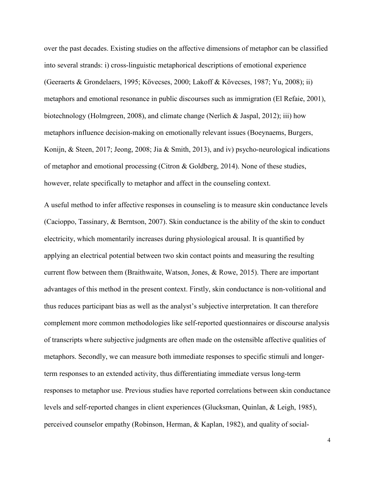over the past decades. Existing studies on the affective dimensions of metaphor can be classified into several strands: i) cross-linguistic metaphorical descriptions of emotional experience (Geeraerts & Grondelaers, 1995; Kövecses, 2000; Lakoff & Kövecses, 1987; Yu, 2008); ii) metaphors and emotional resonance in public discourses such as immigration (El Refaie, 2001), biotechnology (Holmgreen, 2008), and climate change (Nerlich & Jaspal, 2012); iii) how metaphors influence decision-making on emotionally relevant issues (Boeynaems, Burgers, Konijn, & Steen, 2017; Jeong, 2008; Jia & Smith, 2013), and iv) psycho-neurological indications of metaphor and emotional processing (Citron & Goldberg, 2014). None of these studies, however, relate specifically to metaphor and affect in the counseling context.

A useful method to infer affective responses in counseling is to measure skin conductance levels (Cacioppo, Tassinary, & Berntson, 2007). Skin conductance is the ability of the skin to conduct electricity, which momentarily increases during physiological arousal. It is quantified by applying an electrical potential between two skin contact points and measuring the resulting current flow between them (Braithwaite, Watson, Jones, & Rowe, 2015). There are important advantages of this method in the present context. Firstly, skin conductance is non-volitional and thus reduces participant bias as well as the analyst's subjective interpretation. It can therefore complement more common methodologies like self-reported questionnaires or discourse analysis of transcripts where subjective judgments are often made on the ostensible affective qualities of metaphors. Secondly, we can measure both immediate responses to specific stimuli and longerterm responses to an extended activity, thus differentiating immediate versus long-term responses to metaphor use. Previous studies have reported correlations between skin conductance levels and self-reported changes in client experiences (Glucksman, Quinlan, & Leigh, 1985), perceived counselor empathy (Robinson, Herman, & Kaplan, 1982), and quality of social-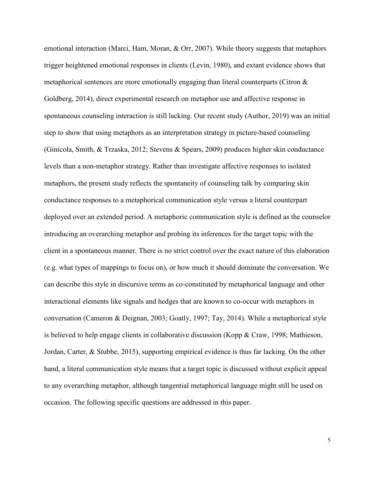emotional interaction (Marci, Ham, Moran, & Orr, 2007). While theory suggests that metaphors trigger heightened emotional responses in clients (Levin, 1980), and extant evidence shows that metaphorical sentences are more emotionally engaging than literal counterparts (Citron & Goldberg, 2014), direct experimental research on metaphor use and affective response in spontaneous counseling interaction is still lacking. Our recent study (Author, 2019) was an initial step to show that using metaphors as an interpretation strategy in picture-based counseling (Ginicola, Smith, & Trzaska, 2012; Stevens & Spears, 2009) produces higher skin conductance levels than a non-metaphor strategy. Rather than investigate affective responses to isolated metaphors, the present study reflects the spontaneity of counseling talk by comparing skin conductance responses to a metaphorical communication style versus a literal counterpart deployed over an extended period. A metaphoric communication style is defined as the counselor introducing an overarching metaphor and probing its inferences for the target topic with the client in a spontaneous manner. There is no strict control over the exact nature of this elaboration (e.g. what types of mappings to focus on), or how much it should dominate the conversation. We can describe this style in discursive terms as co-constituted by metaphorical language and other interactional elements like signals and hedges that are known to co-occur with metaphors in conversation (Cameron & Deignan, 2003; Goatly, 1997; Tay, 2014). While a metaphorical style is believed to help engage clients in collaborative discussion (Kopp & Craw, 1998; Mathieson, Jordan, Carter, & Stubbe, 2015), supporting empirical evidence is thus far lacking. On the other hand, a literal communication style means that a target topic is discussed without explicit appeal to any overarching metaphor, although tangential metaphorical language might still be used on occasion. The following specific questions are addressed in this paper.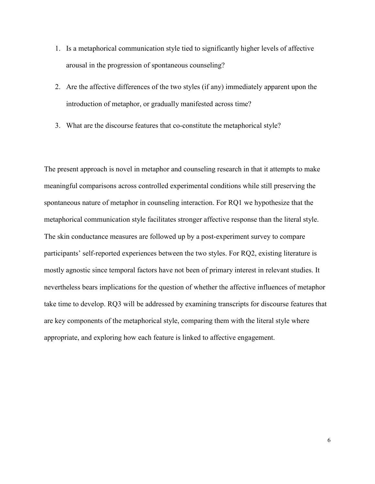- 1. Is a metaphorical communication style tied to significantly higher levels of affective arousal in the progression of spontaneous counseling?
- 2. Are the affective differences of the two styles (if any) immediately apparent upon the introduction of metaphor, or gradually manifested across time?
- 3. What are the discourse features that co-constitute the metaphorical style?

The present approach is novel in metaphor and counseling research in that it attempts to make meaningful comparisons across controlled experimental conditions while still preserving the spontaneous nature of metaphor in counseling interaction. For RQ1 we hypothesize that the metaphorical communication style facilitates stronger affective response than the literal style. The skin conductance measures are followed up by a post-experiment survey to compare participants' self-reported experiences between the two styles. For RQ2, existing literature is mostly agnostic since temporal factors have not been of primary interest in relevant studies. It nevertheless bears implications for the question of whether the affective influences of metaphor take time to develop. RQ3 will be addressed by examining transcripts for discourse features that are key components of the metaphorical style, comparing them with the literal style where appropriate, and exploring how each feature is linked to affective engagement.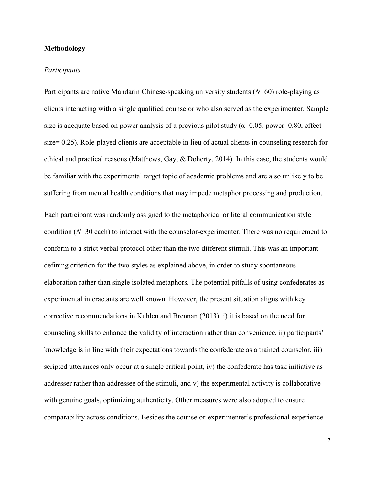# **Methodology**

## *Participants*

Participants are native Mandarin Chinese-speaking university students (*N*=60) role-playing as clients interacting with a single qualified counselor who also served as the experimenter. Sample size is adequate based on power analysis of a previous pilot study ( $\alpha$ =0.05, power=0.80, effect size= 0.25). Role-played clients are acceptable in lieu of actual clients in counseling research for ethical and practical reasons (Matthews, Gay, & Doherty, 2014). In this case, the students would be familiar with the experimental target topic of academic problems and are also unlikely to be suffering from mental health conditions that may impede metaphor processing and production.

Each participant was randomly assigned to the metaphorical or literal communication style condition (*N*=30 each) to interact with the counselor-experimenter. There was no requirement to conform to a strict verbal protocol other than the two different stimuli. This was an important defining criterion for the two styles as explained above, in order to study spontaneous elaboration rather than single isolated metaphors. The potential pitfalls of using confederates as experimental interactants are well known. However, the present situation aligns with key corrective recommendations in Kuhlen and Brennan (2013): i) it is based on the need for counseling skills to enhance the validity of interaction rather than convenience, ii) participants' knowledge is in line with their expectations towards the confederate as a trained counselor, iii) scripted utterances only occur at a single critical point, iv) the confederate has task initiative as addresser rather than addressee of the stimuli, and v) the experimental activity is collaborative with genuine goals, optimizing authenticity. Other measures were also adopted to ensure comparability across conditions. Besides the counselor-experimenter's professional experience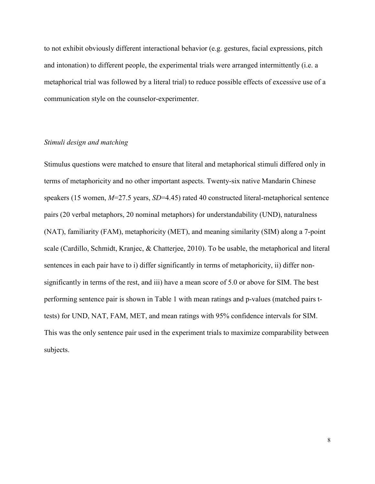to not exhibit obviously different interactional behavior (e.g. gestures, facial expressions, pitch and intonation) to different people, the experimental trials were arranged intermittently (i.e. a metaphorical trial was followed by a literal trial) to reduce possible effects of excessive use of a communication style on the counselor-experimenter.

# *Stimuli design and matching*

Stimulus questions were matched to ensure that literal and metaphorical stimuli differed only in terms of metaphoricity and no other important aspects. Twenty-six native Mandarin Chinese speakers (15 women, *M*=27.5 years, *SD*=4.45) rated 40 constructed literal-metaphorical sentence pairs (20 verbal metaphors, 20 nominal metaphors) for understandability (UND), naturalness (NAT), familiarity (FAM), metaphoricity (MET), and meaning similarity (SIM) along a 7-point scale (Cardillo, Schmidt, Kranjec, & Chatterjee, 2010). To be usable, the metaphorical and literal sentences in each pair have to i) differ significantly in terms of metaphoricity, ii) differ nonsignificantly in terms of the rest, and iii) have a mean score of 5.0 or above for SIM. The best performing sentence pair is shown in Table 1 with mean ratings and p-values (matched pairs ttests) for UND, NAT, FAM, MET, and mean ratings with 95% confidence intervals for SIM. This was the only sentence pair used in the experiment trials to maximize comparability between subjects.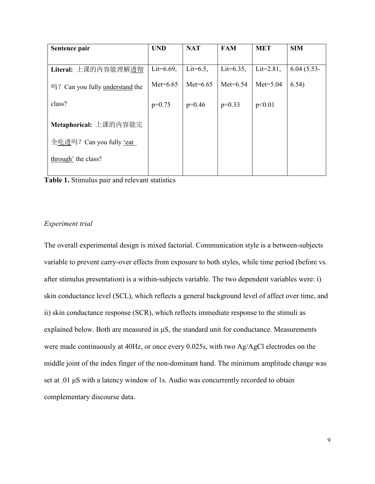| Sentence pair                   | <b>UND</b>    | <b>NAT</b>   | <b>FAM</b>    | <b>MET</b>    | <b>SIM</b>   |
|---------------------------------|---------------|--------------|---------------|---------------|--------------|
|                                 |               |              |               |               |              |
| Literal: 上课的内容能理解透彻             | Lit= $6.69$ , | Lit= $6.5$ , | Lit= $6.35$ , | Lit= $2.81$ , | $6.04(5.53-$ |
| 吗? Can you fully understand the | $Met=6.65$    | Met= $6.65$  | $Met=6.54$    | $Met=5.04$    | 6.54)        |
| class?                          | $p=0.75$      | $p=0.46$     | $p=0.33$      | p<0.01        |              |
| Metaphorical: 上课的内容能完           |               |              |               |               |              |
| 全吃透吗? Can you fully 'eat        |               |              |               |               |              |
| through' the class?             |               |              |               |               |              |

**Table 1.** Stimulus pair and relevant statistics

# *Experiment trial*

The overall experimental design is mixed factorial. Communication style is a between-subjects variable to prevent carry-over effects from exposure to both styles, while time period (before vs. after stimulus presentation) is a within-subjects variable. The two dependent variables were: i) skin conductance level (SCL), which reflects a general background level of affect over time, and ii) skin conductance response (SCR), which reflects immediate response to the stimuli as explained below. Both are measured in μS, the standard unit for conductance. Measurements were made continuously at 40Hz, or once every 0.025s, with two Ag/AgCl electrodes on the middle joint of the index finger of the non-dominant hand. The minimum amplitude change was set at .01 μS with a latency window of 1s. Audio was concurrently recorded to obtain complementary discourse data.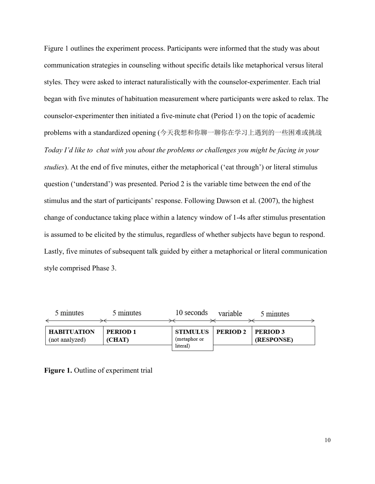Figure 1 outlines the experiment process. Participants were informed that the study was about communication strategies in counseling without specific details like metaphorical versus literal styles. They were asked to interact naturalistically with the counselor-experimenter. Each trial began with five minutes of habituation measurement where participants were asked to relax. The counselor-experimenter then initiated a five-minute chat (Period 1) on the topic of academic problems with a standardized opening (今天我想和你聊一聊你在学习上遇到的一些困难或挑战 *Today I'd like to chat with you about the problems or challenges you might be facing in your studies*). At the end of five minutes, either the metaphorical ('eat through') or literal stimulus question ('understand') was presented. Period 2 is the variable time between the end of the stimulus and the start of participants' response. Following Dawson et al. (2007), the highest change of conductance taking place within a latency window of 1-4s after stimulus presentation is assumed to be elicited by the stimulus, regardless of whether subjects have begun to respond. Lastly, five minutes of subsequent talk guided by either a metaphorical or literal communication style comprised Phase 3.

| 5 minutes          | 5 minutes | 10 seconds   | variable            | 5 minutes       |
|--------------------|-----------|--------------|---------------------|-----------------|
|                    |           |              |                     |                 |
| <b>HABITUATION</b> | PERIOD 1  |              | STIMULUS   PERIOD 2 | <b>PERIOD 3</b> |
| (not analyzed)     | (CHAT)    | (metaphor or |                     | (RESPONSE)      |
|                    |           | literal)     |                     |                 |

**Figure 1.** Outline of experiment trial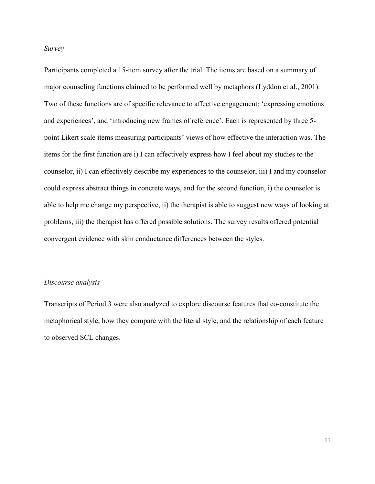*Survey*

Participants completed a 15-item survey after the trial. The items are based on a summary of major counseling functions claimed to be performed well by metaphors (Lyddon et al., 2001). Two of these functions are of specific relevance to affective engagement: 'expressing emotions and experiences', and 'introducing new frames of reference'. Each is represented by three 5 point Likert scale items measuring participants' views of how effective the interaction was. The items for the first function are i) I can effectively express how I feel about my studies to the counselor, ii) I can effectively describe my experiences to the counselor, iii) I and my counselor could express abstract things in concrete ways, and for the second function, i) the counselor is able to help me change my perspective, ii) the therapist is able to suggest new ways of looking at problems, iii) the therapist has offered possible solutions. The survey results offered potential convergent evidence with skin conductance differences between the styles.

#### *Discourse analysis*

Transcripts of Period 3 were also analyzed to explore discourse features that co-constitute the metaphorical style, how they compare with the literal style, and the relationship of each feature to observed SCL changes.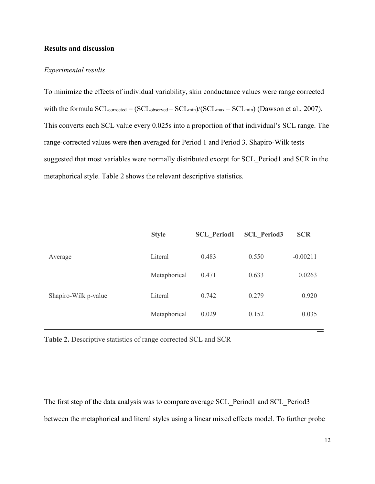## **Results and discussion**

## *Experimental results*

To minimize the effects of individual variability, skin conductance values were range corrected with the formula  $SCL_{corrected} = (SCL_{observed} - SCL_{min})/(SCL_{max} - SCL_{min})$  (Dawson et al., 2007). This converts each SCL value every 0.025s into a proportion of that individual's SCL range. The range-corrected values were then averaged for Period 1 and Period 3. Shapiro-Wilk tests suggested that most variables were normally distributed except for SCL\_Period1 and SCR in the metaphorical style. Table 2 shows the relevant descriptive statistics.

|                      | <b>Style</b> | <b>SCL Period1</b> | <b>SCL Period3</b> | <b>SCR</b> |
|----------------------|--------------|--------------------|--------------------|------------|
| Average              | Literal      | 0.483              | 0.550              | $-0.00211$ |
|                      | Metaphorical | 0.471              | 0.633              | 0.0263     |
| Shapiro-Wilk p-value | Literal      | 0.742              | 0.279              | 0.920      |
|                      | Metaphorical | 0.029              | 0.152              | 0.035      |

**Table 2.** Descriptive statistics of range corrected SCL and SCR

The first step of the data analysis was to compare average SCL Period1 and SCL Period3 between the metaphorical and literal styles using a linear mixed effects model. To further probe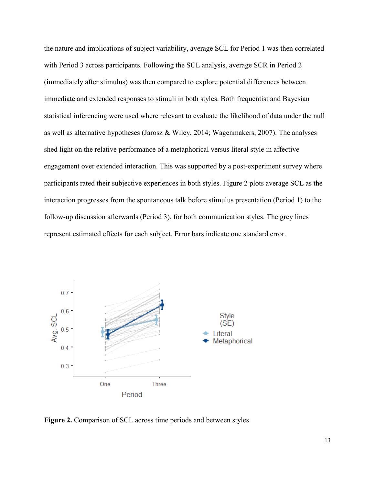the nature and implications of subject variability, average SCL for Period 1 was then correlated with Period 3 across participants. Following the SCL analysis, average SCR in Period 2 (immediately after stimulus) was then compared to explore potential differences between immediate and extended responses to stimuli in both styles. Both frequentist and Bayesian statistical inferencing were used where relevant to evaluate the likelihood of data under the null as well as alternative hypotheses (Jarosz & Wiley, 2014; Wagenmakers, 2007). The analyses shed light on the relative performance of a metaphorical versus literal style in affective engagement over extended interaction. This was supported by a post-experiment survey where participants rated their subjective experiences in both styles. Figure 2 plots average SCL as the interaction progresses from the spontaneous talk before stimulus presentation (Period 1) to the follow-up discussion afterwards (Period 3), for both communication styles. The grey lines represent estimated effects for each subject. Error bars indicate one standard error.



**Figure 2.** Comparison of SCL across time periods and between styles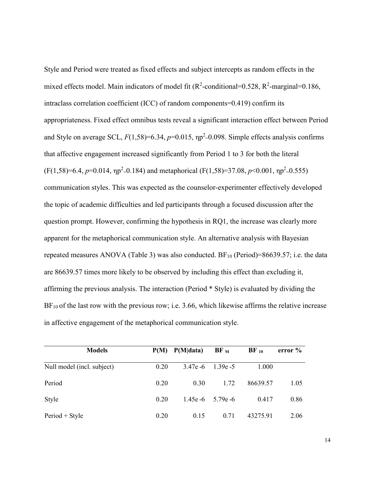Style and Period were treated as fixed effects and subject intercepts as random effects in the mixed effects model. Main indicators of model fit ( $\mathbb{R}^2$ -conditional=0.528,  $\mathbb{R}^2$ -marginal=0.186, intraclass correlation coefficient (ICC) of random components=0.419) confirm its appropriateness. Fixed effect omnibus tests reveal a significant interaction effect between Period and Style on average SCL,  $F(1,58)=6.34$ ,  $p=0.015$ ,  $np^2=0.098$ . Simple effects analysis confirms that affective engagement increased significantly from Period 1 to 3 for both the literal  $(F(1, 58)=6.4, p=0.014, \eta p^2=0.184)$  and metaphorical  $(F(1, 58)=37.08, p<0.001, \eta p^2=0.555)$ communication styles. This was expected as the counselor-experimenter effectively developed the topic of academic difficulties and led participants through a focused discussion after the question prompt. However, confirming the hypothesis in RQ1, the increase was clearly more apparent for the metaphorical communication style. An alternative analysis with Bayesian repeated measures ANOVA (Table 3) was also conducted.  $BF_{10}$  (Period)=86639.57; i.e. the data are 86639.57 times more likely to be observed by including this effect than excluding it, affirming the previous analysis. The interaction (Period \* Style) is evaluated by dividing the  $BF_{10}$  of the last row with the previous row; i.e. 3.66, which likewise affirms the relative increase in affective engagement of the metaphorical communication style.

| <b>Models</b>              | P(M) | P(M data)   | $BF_{M}$              | $BF_{10}$ | error $\%$ |
|----------------------------|------|-------------|-----------------------|-----------|------------|
| Null model (incl. subject) | 0.20 | $3.47e - 6$ | 1.39e - $5$           | 1.000     |            |
| Period                     | 0.20 | 0.30        | 1.72                  | 86639.57  | 1.05       |
| Style                      | 0.20 |             | 1.45e $-6$ 5.79e $-6$ | 0.417     | 0.86       |
| $Period + Style$           | 0.20 | 0.15        | 0.71                  | 43275.91  | 2.06       |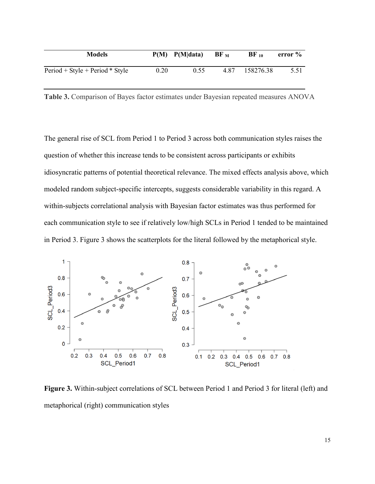| <b>Models</b>                     |      | $P(M)$ $P(M data)$ | $\bf{BF}$ $\bf{M}$ | $BF_{10}$ | error % |
|-----------------------------------|------|--------------------|--------------------|-----------|---------|
| $Period + Style + Period * Style$ | 0.20 | 0.55               | 4.87               | 158276.38 | 5.51    |

**Table 3.** Comparison of Bayes factor estimates under Bayesian repeated measures ANOVA

The general rise of SCL from Period 1 to Period 3 across both communication styles raises the question of whether this increase tends to be consistent across participants or exhibits idiosyncratic patterns of potential theoretical relevance. The mixed effects analysis above, which modeled random subject-specific intercepts, suggests considerable variability in this regard. A within-subjects correlational analysis with Bayesian factor estimates was thus performed for each communication style to see if relatively low/high SCLs in Period 1 tended to be maintained in Period 3. Figure 3 shows the scatterplots for the literal followed by the metaphorical style.



**Figure 3.** Within-subject correlations of SCL between Period 1 and Period 3 for literal (left) and metaphorical (right) communication styles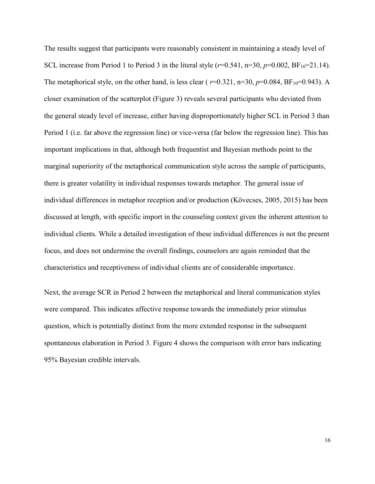The results suggest that participants were reasonably consistent in maintaining a steady level of SCL increase from Period 1 to Period 3 in the literal style  $(r=0.541, n=30, p=0.002, BF_{10}=21.14)$ . The metaphorical style, on the other hand, is less clear ( $r=0.321$ ,  $n=30$ ,  $p=0.084$ ,  $BF_{10}=0.943$ ). A closer examination of the scatterplot (Figure 3) reveals several participants who deviated from the general steady level of increase, either having disproportionately higher SCL in Period 3 than Period 1 (i.e. far above the regression line) or vice-versa (far below the regression line). This has important implications in that, although both frequentist and Bayesian methods point to the marginal superiority of the metaphorical communication style across the sample of participants, there is greater volatility in individual responses towards metaphor. The general issue of individual differences in metaphor reception and/or production (Kövecses, 2005, 2015) has been discussed at length, with specific import in the counseling context given the inherent attention to individual clients. While a detailed investigation of these individual differences is not the present focus, and does not undermine the overall findings, counselors are again reminded that the characteristics and receptiveness of individual clients are of considerable importance.

Next, the average SCR in Period 2 between the metaphorical and literal communication styles were compared. This indicates affective response towards the immediately prior stimulus question, which is potentially distinct from the more extended response in the subsequent spontaneous elaboration in Period 3. Figure 4 shows the comparison with error bars indicating 95% Bayesian credible intervals.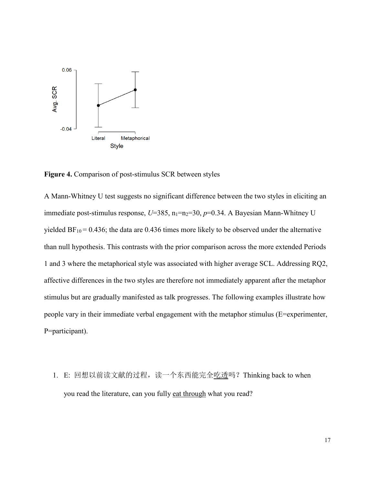

**Figure 4.** Comparison of post-stimulus SCR between styles

A Mann-Whitney U test suggests no significant difference between the two styles in eliciting an immediate post-stimulus response,  $U=385$ ,  $n_1=n_2=30$ ,  $p=0.34$ . A Bayesian Mann-Whitney U yielded  $BF_{10} = 0.436$ ; the data are 0.436 times more likely to be observed under the alternative than null hypothesis. This contrasts with the prior comparison across the more extended Periods 1 and 3 where the metaphorical style was associated with higher average SCL. Addressing RQ2, affective differences in the two styles are therefore not immediately apparent after the metaphor stimulus but are gradually manifested as talk progresses. The following examples illustrate how people vary in their immediate verbal engagement with the metaphor stimulus (E=experimenter, P=participant).

1. E: 回想以前读文献的过程, 读一个东西能完全吃透吗? Thinking back to when you read the literature, can you fully eat through what you read?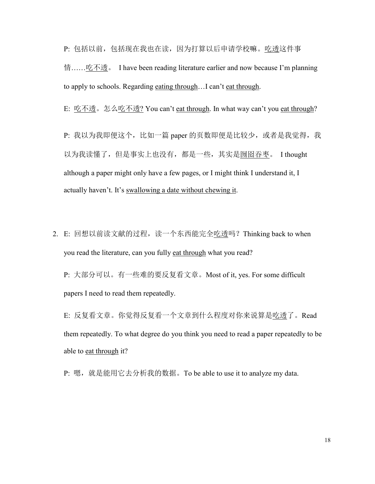P: 包括以前,包括现在我也在读,因为打算以后申请学校嘛。吃透这件事

情……吃不透。 I have been reading literature earlier and now because I'm planning to apply to schools. Regarding eating through...I can't eat through.

E: 吃不透。怎么吃不透? You can't eat through. In what way can't you eat through?

P: 我以为我即便这个, 比如一篇 paper 的页数即便是比较少, 或者是我觉得, 我 以为我读懂了, 但是事实上也没有, 都是一些, 其实是囫囵吞枣。 I thought although a paper might only have a few pages, or I might think I understand it, I actually haven't. It's swallowing a date without chewing it.

2. E: 回想以前读文献的过程, 读一个东西能完全吃透吗? Thinking back to when you read the literature, can you fully eat through what you read?

P: 大部分可以。有一些难的要反复看文章。Most of it, yes. For some difficult papers I need to read them repeatedly.

E: 反复看文章。你觉得反复看一个文章到什么程度对你来说算是吃透了。Read them repeatedly. To what degree do you think you need to read a paper repeatedly to be able to eat through it?

P: 嗯, 就是能用它去分析我的数据。To be able to use it to analyze my data.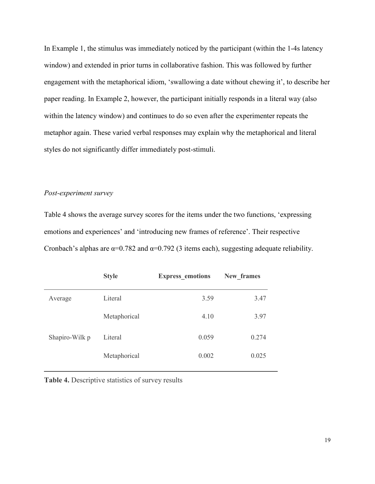In Example 1, the stimulus was immediately noticed by the participant (within the 1-4s latency window) and extended in prior turns in collaborative fashion. This was followed by further engagement with the metaphorical idiom, 'swallowing a date without chewing it', to describe her paper reading. In Example 2, however, the participant initially responds in a literal way (also within the latency window) and continues to do so even after the experimenter repeats the metaphor again. These varied verbal responses may explain why the metaphorical and literal styles do not significantly differ immediately post-stimuli.

## *Post-experiment survey*

Table 4 shows the average survey scores for the items under the two functions, 'expressing emotions and experiences' and 'introducing new frames of reference'. Their respective Cronbach's alphas are  $\alpha=0.782$  and  $\alpha=0.792$  (3 items each), suggesting adequate reliability.

|                | <b>Style</b> | <b>Express emotions</b> | New frames |
|----------------|--------------|-------------------------|------------|
| Average        | Literal      | 3.59                    | 3.47       |
|                | Metaphorical | 4.10                    | 3.97       |
| Shapiro-Wilk p | Literal      | 0.059                   | 0.274      |
|                | Metaphorical | 0.002                   | 0.025      |
|                |              |                         |            |

**Table 4.** Descriptive statistics of survey results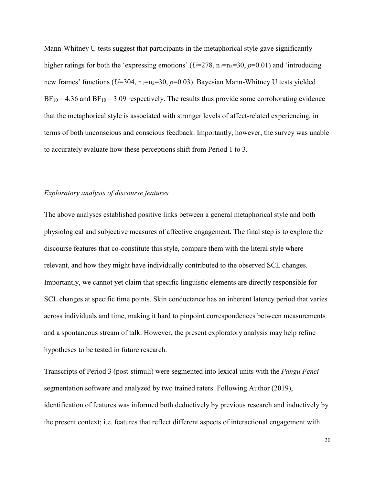Mann-Whitney U tests suggest that participants in the metaphorical style gave significantly higher ratings for both the 'expressing emotions' ( $U=278$ ,  $n_1=n_2=30$ ,  $p=0.01$ ) and 'introducing new frames' functions ( $U=304$ ,  $n_1=n_2=30$ ,  $p=0.03$ ). Bayesian Mann-Whitney U tests yielded  $BF_{10} = 4.36$  and  $BF_{10} = 3.09$  respectively. The results thus provide some corroborating evidence that the metaphorical style is associated with stronger levels of affect-related experiencing, in terms of both unconscious and conscious feedback. Importantly, however, the survey was unable to accurately evaluate how these perceptions shift from Period 1 to 3.

# *Exploratory analysis of discourse features*

The above analyses established positive links between a general metaphorical style and both physiological and subjective measures of affective engagement. The final step is to explore the discourse features that co-constitute this style, compare them with the literal style where relevant, and how they might have individually contributed to the observed SCL changes. Importantly, we cannot yet claim that specific linguistic elements are directly responsible for SCL changes at specific time points. Skin conductance has an inherent latency period that varies across individuals and time, making it hard to pinpoint correspondences between measurements and a spontaneous stream of talk. However, the present exploratory analysis may help refine hypotheses to be tested in future research.

Transcripts of Period 3 (post-stimuli) were segmented into lexical units with the *Pangu Fenci*  segmentation software and analyzed by two trained raters. Following Author (2019), identification of features was informed both deductively by previous research and inductively by the present context; i.e. features that reflect different aspects of interactional engagement with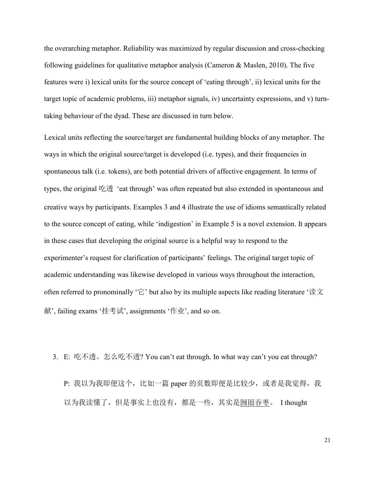the overarching metaphor. Reliability was maximized by regular discussion and cross-checking following guidelines for qualitative metaphor analysis (Cameron & Maslen, 2010). The five features were i) lexical units for the source concept of 'eating through', ii) lexical units for the target topic of academic problems, iii) metaphor signals, iv) uncertainty expressions, and v) turntaking behaviour of the dyad. These are discussed in turn below.

Lexical units reflecting the source/target are fundamental building blocks of any metaphor. The ways in which the original source/target is developed (i.e. types), and their frequencies in spontaneous talk (i.e. tokens), are both potential drivers of affective engagement. In terms of types, the original 吃透 'eat through' was often repeated but also extended in spontaneous and creative ways by participants. Examples 3 and 4 illustrate the use of idioms semantically related to the source concept of eating, while 'indigestion' in Example 5 is a novel extension. It appears in these cases that developing the original source is a helpful way to respond to the experimenter's request for clarification of participants' feelings. The original target topic of academic understanding was likewise developed in various ways throughout the interaction, often referred to pronominally '它' but also by its multiple aspects like reading literature '读文 献', failing exams '挂考试', assignments '作业', and so on.

3. E: 吃不透。怎么吃不透? You can't eat through. In what way can't you eat through?

P: 我以为我即便这个, 比如一篇 paper 的页数即便是比较少, 或者是我觉得, 我 以为我读懂了,但是事实上也没有,都是一些,其实是囫囵吞枣。 I thought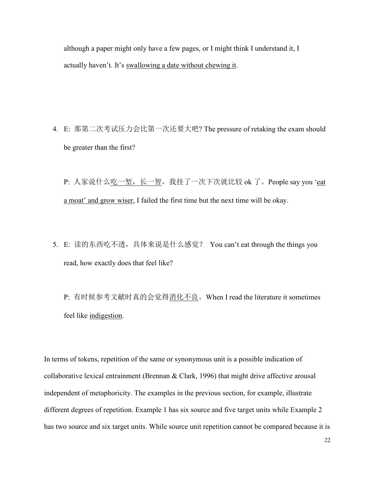although a paper might only have a few pages, or I might think I understand it, I actually haven't. It's swallowing a date without chewing it.

4. E: 那第二次考试压力会比第一次还要大吧? The pressure of retaking the exam should be greater than the first?

P: 人家说什么吃一堑, 长一智, 我挂了一次下次就比较 ok 了。People say you 'eat a moat' and grow wiser, I failed the first time but the next time will be okay.

5. E: 读的东西吃不透,具体来说是什么感觉? You can't eat through the things you read, how exactly does that feel like?

P: 有时候参考文献时真的会觉得消化不良。When I read the literature it sometimes feel like indigestion.

In terms of tokens, repetition of the same or synonymous unit is a possible indication of collaborative lexical entrainment (Brennan & Clark, 1996) that might drive affective arousal independent of metaphoricity. The examples in the previous section, for example, illustrate different degrees of repetition. Example 1 has six source and five target units while Example 2 has two source and six target units. While source unit repetition cannot be compared because it is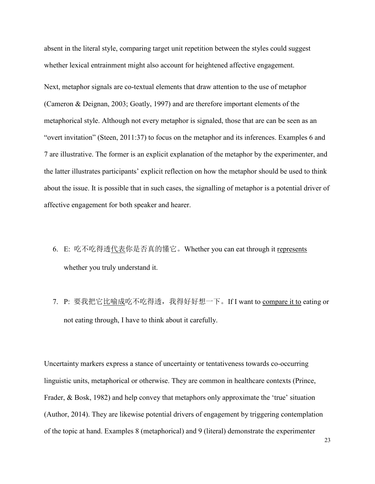absent in the literal style, comparing target unit repetition between the styles could suggest whether lexical entrainment might also account for heightened affective engagement.

Next, metaphor signals are co-textual elements that draw attention to the use of metaphor (Cameron & Deignan, 2003; Goatly, 1997) and are therefore important elements of the metaphorical style. Although not every metaphor is signaled, those that are can be seen as an "overt invitation" (Steen, 2011:37) to focus on the metaphor and its inferences. Examples 6 and 7 are illustrative. The former is an explicit explanation of the metaphor by the experimenter, and the latter illustrates participants' explicit reflection on how the metaphor should be used to think about the issue. It is possible that in such cases, the signalling of metaphor is a potential driver of affective engagement for both speaker and hearer.

- 6. E: 吃不吃得透代表你是否真的懂它。Whether you can eat through it represents whether you truly understand it.
- 7. P: 要我把它比喻成吃不吃得透, 我得好好想一下。If I want to compare it to eating or not eating through, I have to think about it carefully.

Uncertainty markers express a stance of uncertainty or tentativeness towards co-occurring linguistic units, metaphorical or otherwise. They are common in healthcare contexts (Prince, Frader, & Bosk, 1982) and help convey that metaphors only approximate the 'true' situation (Author, 2014). They are likewise potential drivers of engagement by triggering contemplation of the topic at hand. Examples 8 (metaphorical) and 9 (literal) demonstrate the experimenter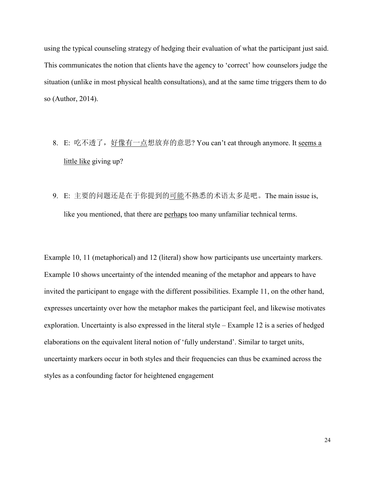using the typical counseling strategy of hedging their evaluation of what the participant just said. This communicates the notion that clients have the agency to 'correct' how counselors judge the situation (unlike in most physical health consultations), and at the same time triggers them to do so (Author, 2014).

- 8. E: 吃不透了, 好像有一点想放弃的意思? You can't eat through anymore. It seems a little like giving up?
- 9. E: 主要的问题还是在于你提到的可能不熟悉的术语太多是吧。The main issue is, like you mentioned, that there are perhaps too many unfamiliar technical terms.

Example 10, 11 (metaphorical) and 12 (literal) show how participants use uncertainty markers. Example 10 shows uncertainty of the intended meaning of the metaphor and appears to have invited the participant to engage with the different possibilities. Example 11, on the other hand, expresses uncertainty over how the metaphor makes the participant feel, and likewise motivates exploration. Uncertainty is also expressed in the literal style – Example 12 is a series of hedged elaborations on the equivalent literal notion of 'fully understand'. Similar to target units, uncertainty markers occur in both styles and their frequencies can thus be examined across the styles as a confounding factor for heightened engagement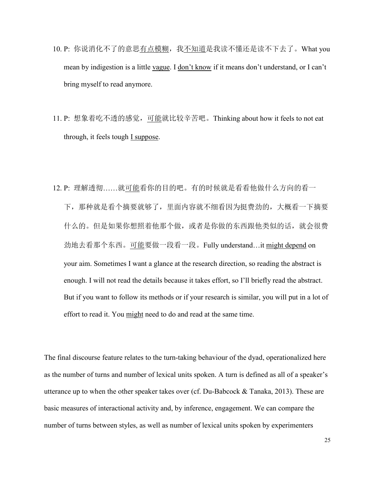- 10. P: 你说消化不了的意思有点模糊, 我不知道是我读不懂还是读不下去了。What you mean by indigestion is a little vague. I don't know if it means don't understand, or I can't bring myself to read anymore.
- 11. P: 想象着吃不透的感觉,可能就比较辛苦吧。Thinking about how it feels to not eat through, it feels tough  $I$  suppose.
- 12. P: 理解透彻……就可能看你的目的吧。有的时候就是看看他做什么方向的看一 下,那种就是看个摘要就够了,里面内容就不细看因为挺费劲的,大概看一下摘要 什么的。但是如果你想照着他那个做,或者是你做的东西跟他类似的话,就会很费 劲地去看那个东西。可能要做一段看一段。Fully understand…it might depend on your aim. Sometimes I want a glance at the research direction, so reading the abstract is enough. I will not read the details because it takes effort, so I'll briefly read the abstract. But if you want to follow its methods or if your research is similar, you will put in a lot of effort to read it. You might need to do and read at the same time.

The final discourse feature relates to the turn-taking behaviour of the dyad, operationalized here as the number of turns and number of lexical units spoken. A turn is defined as all of a speaker's utterance up to when the other speaker takes over (cf. Du-Babcock & Tanaka, 2013). These are basic measures of interactional activity and, by inference, engagement. We can compare the number of turns between styles, as well as number of lexical units spoken by experimenters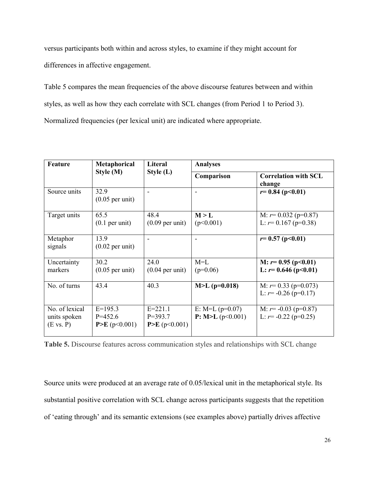versus participants both within and across styles, to examine if they might account for differences in affective engagement.

Table 5 compares the mean frequencies of the above discourse features between and within styles, as well as how they each correlate with SCL changes (from Period 1 to Period 3). Normalized frequencies (per lexical unit) are indicated where appropriate.

| Feature                                     | Metaphorical                             | Literal<br>Style (L)                       | <b>Analyses</b>                      |                                                        |  |
|---------------------------------------------|------------------------------------------|--------------------------------------------|--------------------------------------|--------------------------------------------------------|--|
|                                             | Style (M)                                |                                            | Comparison                           | <b>Correlation with SCL</b><br>change                  |  |
| Source units                                | 32.9<br>$(0.05$ per unit)                |                                            |                                      | $r=0.84$ (p<0.01)                                      |  |
| Target units                                | 65.5<br>$(0.1$ per unit)                 | 48.4<br>$(0.09$ per unit)                  | M > L<br>(p<0.001)                   | M: $r = 0.032$ (p=0.87)<br>L: $r=0.167$ (p=0.38)       |  |
| Metaphor<br>signals                         | 13.9<br>$(0.02$ per unit)                |                                            |                                      | $r=0.57$ (p<0.01)                                      |  |
| Uncertainty<br>markers                      | 30.2<br>$(0.05$ per unit)                | 24.0<br>$(0.04$ per unit)                  | $M=L$<br>$(p=0.06)$                  | M: $r=0.95$ (p<0.01)<br>L: $r=0.646$ (p<0.01)          |  |
| No. of turns                                | 43.4                                     | 40.3                                       | $M>L$ (p=0.018)                      | M: $r = 0.33$ (p=0.073)<br>L: $r = -0.26$ (p=0.17)     |  |
| No. of lexical<br>units spoken<br>(E vs. P) | $E=195.3$<br>$P = 452.6$<br>P>E(p<0.001) | $E = 221.1$<br>$P = 393.7$<br>P>E(p<0.001) | E: M=L $(p=0.07)$<br>P: M>L(p<0.001) | M: $r = -0.03$ (p=0.87)<br>L: $r = -0.22$ ( $p=0.25$ ) |  |

**Table 5.** Discourse features across communication styles and relationships with SCL change

Source units were produced at an average rate of 0.05/lexical unit in the metaphorical style. Its substantial positive correlation with SCL change across participants suggests that the repetition of 'eating through' and its semantic extensions (see examples above) partially drives affective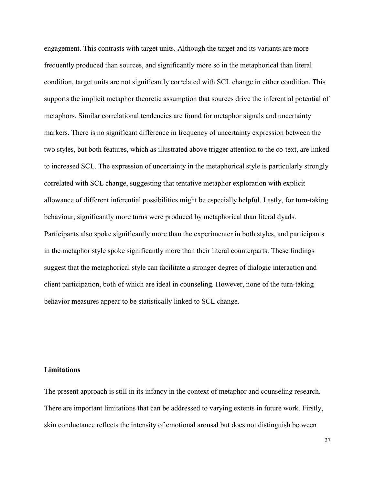engagement. This contrasts with target units. Although the target and its variants are more frequently produced than sources, and significantly more so in the metaphorical than literal condition, target units are not significantly correlated with SCL change in either condition. This supports the implicit metaphor theoretic assumption that sources drive the inferential potential of metaphors. Similar correlational tendencies are found for metaphor signals and uncertainty markers. There is no significant difference in frequency of uncertainty expression between the two styles, but both features, which as illustrated above trigger attention to the co-text, are linked to increased SCL. The expression of uncertainty in the metaphorical style is particularly strongly correlated with SCL change, suggesting that tentative metaphor exploration with explicit allowance of different inferential possibilities might be especially helpful. Lastly, for turn-taking behaviour, significantly more turns were produced by metaphorical than literal dyads. Participants also spoke significantly more than the experimenter in both styles, and participants in the metaphor style spoke significantly more than their literal counterparts. These findings suggest that the metaphorical style can facilitate a stronger degree of dialogic interaction and client participation, both of which are ideal in counseling. However, none of the turn-taking behavior measures appear to be statistically linked to SCL change.

# **Limitations**

The present approach is still in its infancy in the context of metaphor and counseling research. There are important limitations that can be addressed to varying extents in future work. Firstly, skin conductance reflects the intensity of emotional arousal but does not distinguish between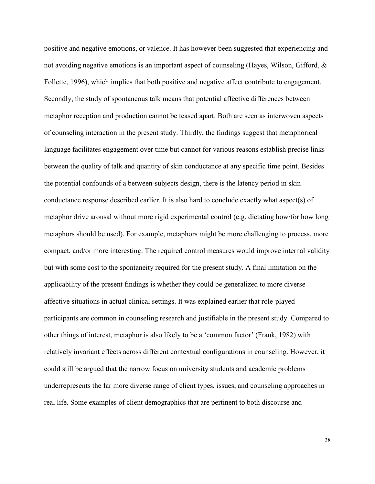positive and negative emotions, or valence. It has however been suggested that experiencing and not avoiding negative emotions is an important aspect of counseling (Hayes, Wilson, Gifford, & Follette, 1996), which implies that both positive and negative affect contribute to engagement. Secondly, the study of spontaneous talk means that potential affective differences between metaphor reception and production cannot be teased apart. Both are seen as interwoven aspects of counseling interaction in the present study. Thirdly, the findings suggest that metaphorical language facilitates engagement over time but cannot for various reasons establish precise links between the quality of talk and quantity of skin conductance at any specific time point. Besides the potential confounds of a between-subjects design, there is the latency period in skin conductance response described earlier. It is also hard to conclude exactly what aspect(s) of metaphor drive arousal without more rigid experimental control (e.g. dictating how/for how long metaphors should be used). For example, metaphors might be more challenging to process, more compact, and/or more interesting. The required control measures would improve internal validity but with some cost to the spontaneity required for the present study. A final limitation on the applicability of the present findings is whether they could be generalized to more diverse affective situations in actual clinical settings. It was explained earlier that role-played participants are common in counseling research and justifiable in the present study. Compared to other things of interest, metaphor is also likely to be a 'common factor' (Frank, 1982) with relatively invariant effects across different contextual configurations in counseling. However, it could still be argued that the narrow focus on university students and academic problems underrepresents the far more diverse range of client types, issues, and counseling approaches in real life. Some examples of client demographics that are pertinent to both discourse and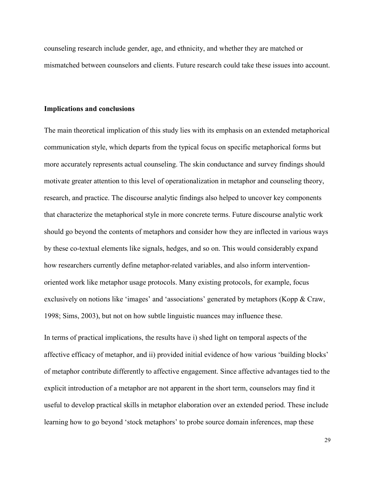counseling research include gender, age, and ethnicity, and whether they are matched or mismatched between counselors and clients. Future research could take these issues into account.

#### **Implications and conclusions**

The main theoretical implication of this study lies with its emphasis on an extended metaphorical communication style, which departs from the typical focus on specific metaphorical forms but more accurately represents actual counseling. The skin conductance and survey findings should motivate greater attention to this level of operationalization in metaphor and counseling theory, research, and practice. The discourse analytic findings also helped to uncover key components that characterize the metaphorical style in more concrete terms. Future discourse analytic work should go beyond the contents of metaphors and consider how they are inflected in various ways by these co-textual elements like signals, hedges, and so on. This would considerably expand how researchers currently define metaphor-related variables, and also inform interventionoriented work like metaphor usage protocols. Many existing protocols, for example, focus exclusively on notions like 'images' and 'associations' generated by metaphors (Kopp & Craw, 1998; Sims, 2003), but not on how subtle linguistic nuances may influence these.

In terms of practical implications, the results have i) shed light on temporal aspects of the affective efficacy of metaphor, and ii) provided initial evidence of how various 'building blocks' of metaphor contribute differently to affective engagement. Since affective advantages tied to the explicit introduction of a metaphor are not apparent in the short term, counselors may find it useful to develop practical skills in metaphor elaboration over an extended period. These include learning how to go beyond 'stock metaphors' to probe source domain inferences, map these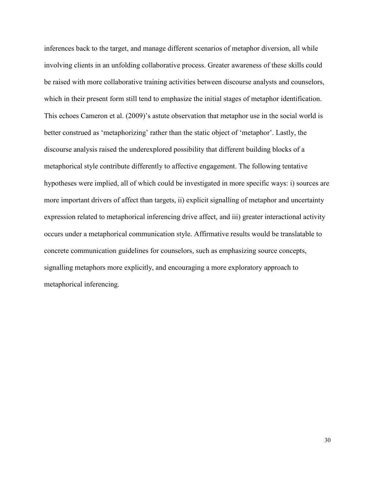inferences back to the target, and manage different scenarios of metaphor diversion, all while involving clients in an unfolding collaborative process. Greater awareness of these skills could be raised with more collaborative training activities between discourse analysts and counselors, which in their present form still tend to emphasize the initial stages of metaphor identification. This echoes Cameron et al. (2009)'s astute observation that metaphor use in the social world is better construed as 'metaphorizing' rather than the static object of 'metaphor'. Lastly, the discourse analysis raised the underexplored possibility that different building blocks of a metaphorical style contribute differently to affective engagement. The following tentative hypotheses were implied, all of which could be investigated in more specific ways: i) sources are more important drivers of affect than targets, ii) explicit signalling of metaphor and uncertainty expression related to metaphorical inferencing drive affect, and iii) greater interactional activity occurs under a metaphorical communication style. Affirmative results would be translatable to concrete communication guidelines for counselors, such as emphasizing source concepts, signalling metaphors more explicitly, and encouraging a more exploratory approach to metaphorical inferencing.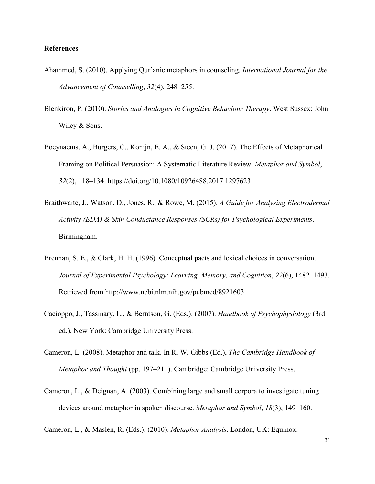# **References**

- Ahammed, S. (2010). Applying Qur'anic metaphors in counseling. *International Journal for the Advancement of Counselling*, *32*(4), 248–255.
- Blenkiron, P. (2010). *Stories and Analogies in Cognitive Behaviour Therapy*. West Sussex: John Wiley & Sons.
- Boeynaems, A., Burgers, C., Konijn, E. A., & Steen, G. J. (2017). The Effects of Metaphorical Framing on Political Persuasion: A Systematic Literature Review. *Metaphor and Symbol*, *32*(2), 118–134. https://doi.org/10.1080/10926488.2017.1297623
- Braithwaite, J., Watson, D., Jones, R., & Rowe, M. (2015). *A Guide for Analysing Electrodermal Activity (EDA) & Skin Conductance Responses (SCRs) for Psychological Experiments*. Birmingham.
- Brennan, S. E., & Clark, H. H. (1996). Conceptual pacts and lexical choices in conversation. *Journal of Experimental Psychology: Learning, Memory, and Cognition*, *22*(6), 1482–1493. Retrieved from http://www.ncbi.nlm.nih.gov/pubmed/8921603
- Cacioppo, J., Tassinary, L., & Berntson, G. (Eds.). (2007). *Handbook of Psychophysiology* (3rd ed.). New York: Cambridge University Press.
- Cameron, L. (2008). Metaphor and talk. In R. W. Gibbs (Ed.), *The Cambridge Handbook of Metaphor and Thought* (pp. 197–211). Cambridge: Cambridge University Press.
- Cameron, L., & Deignan, A. (2003). Combining large and small corpora to investigate tuning devices around metaphor in spoken discourse. *Metaphor and Symbol*, *18*(3), 149–160.

Cameron, L., & Maslen, R. (Eds.). (2010). *Metaphor Analysis*. London, UK: Equinox.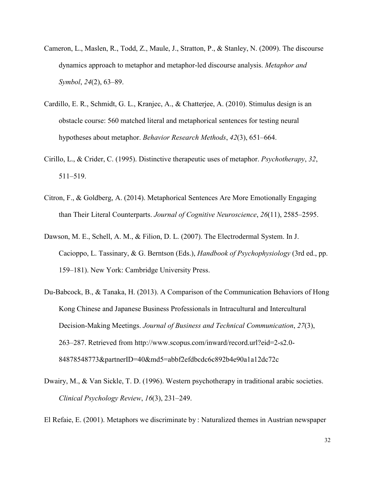- Cameron, L., Maslen, R., Todd, Z., Maule, J., Stratton, P., & Stanley, N. (2009). The discourse dynamics approach to metaphor and metaphor-led discourse analysis. *Metaphor and Symbol*, *24*(2), 63–89.
- Cardillo, E. R., Schmidt, G. L., Kranjec, A., & Chatterjee, A. (2010). Stimulus design is an obstacle course: 560 matched literal and metaphorical sentences for testing neural hypotheses about metaphor. *Behavior Research Methods*, *42*(3), 651–664.
- Cirillo, L., & Crider, C. (1995). Distinctive therapeutic uses of metaphor. *Psychotherapy*, *32*, 511–519.
- Citron, F., & Goldberg, A. (2014). Metaphorical Sentences Are More Emotionally Engaging than Their Literal Counterparts. *Journal of Cognitive Neuroscience*, *26*(11), 2585–2595.
- Dawson, M. E., Schell, A. M., & Filion, D. L. (2007). The Electrodermal System. In J. Cacioppo, L. Tassinary, & G. Berntson (Eds.), *Handbook of Psychophysiology* (3rd ed., pp. 159–181). New York: Cambridge University Press.
- Du-Babcock, B., & Tanaka, H. (2013). A Comparison of the Communication Behaviors of Hong Kong Chinese and Japanese Business Professionals in Intracultural and Intercultural Decision-Making Meetings. *Journal of Business and Technical Communication*, *27*(3), 263–287. Retrieved from http://www.scopus.com/inward/record.url?eid=2-s2.0- 84878548773&partnerID=40&md5=abbf2efdbcdc6c892b4e90a1a12dc72c
- Dwairy, M., & Van Sickle, T. D. (1996). Western psychotherapy in traditional arabic societies. *Clinical Psychology Review*, *16*(3), 231–249.

El Refaie, E. (2001). Metaphors we discriminate by : Naturalized themes in Austrian newspaper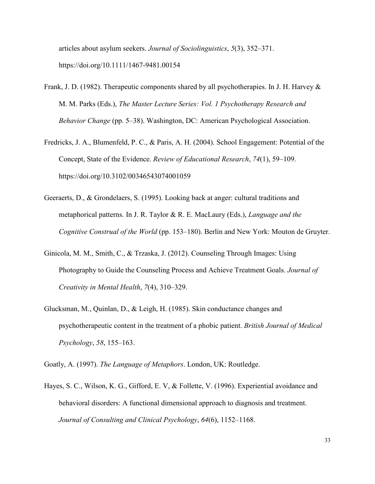articles about asylum seekers. *Journal of Sociolinguistics*, *5*(3), 352–371. https://doi.org/10.1111/1467-9481.00154

- Frank, J. D. (1982). Therapeutic components shared by all psychotherapies. In J. H. Harvey & M. M. Parks (Eds.), *The Master Lecture Series: Vol. 1 Psychotherapy Research and Behavior Change* (pp. 5–38). Washington, DC: American Psychological Association.
- Fredricks, J. A., Blumenfeld, P. C., & Paris, A. H. (2004). School Engagement: Potential of the Concept, State of the Evidence. *Review of Educational Research*, *74*(1), 59–109. https://doi.org/10.3102/00346543074001059
- Geeraerts, D., & Grondelaers, S. (1995). Looking back at anger: cultural traditions and metaphorical patterns. In J. R. Taylor & R. E. MacLaury (Eds.), *Language and the Cognitive Construal of the World* (pp. 153–180). Berlin and New York: Mouton de Gruyter.
- Ginicola, M. M., Smith, C., & Trzaska, J. (2012). Counseling Through Images: Using Photography to Guide the Counseling Process and Achieve Treatment Goals. *Journal of Creativity in Mental Health*, *7*(4), 310–329.
- Glucksman, M., Quinlan, D., & Leigh, H. (1985). Skin conductance changes and psychotherapeutic content in the treatment of a phobic patient. *British Journal of Medical Psychology*, *58*, 155–163.
- Goatly, A. (1997). *The Language of Metaphors*. London, UK: Routledge.
- Hayes, S. C., Wilson, K. G., Gifford, E. V, & Follette, V. (1996). Experiential avoidance and behavioral disorders: A functional dimensional approach to diagnosis and treatment. *Journal of Consulting and Clinical Psychology*, *64*(6), 1152–1168.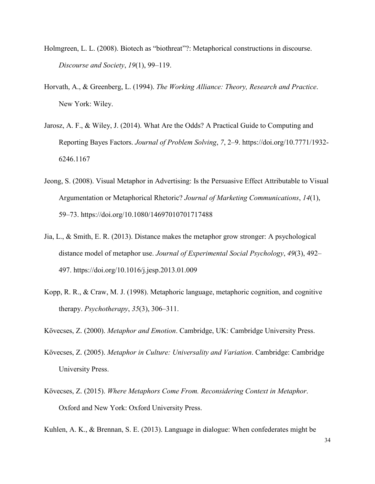- Holmgreen, L. L. (2008). Biotech as "biothreat"?: Metaphorical constructions in discourse. *Discourse and Society*, *19*(1), 99–119.
- Horvath, A., & Greenberg, L. (1994). *The Working Alliance: Theory, Research and Practice*. New York: Wiley.
- Jarosz, A. F., & Wiley, J. (2014). What Are the Odds? A Practical Guide to Computing and Reporting Bayes Factors. *Journal of Problem Solving*, *7*, 2–9. https://doi.org/10.7771/1932- 6246.1167
- Jeong, S. (2008). Visual Metaphor in Advertising: Is the Persuasive Effect Attributable to Visual Argumentation or Metaphorical Rhetoric? *Journal of Marketing Communications*, *14*(1), 59–73. https://doi.org/10.1080/14697010701717488
- Jia, L., & Smith, E. R. (2013). Distance makes the metaphor grow stronger: A psychological distance model of metaphor use. *Journal of Experimental Social Psychology*, *49*(3), 492– 497. https://doi.org/10.1016/j.jesp.2013.01.009
- Kopp, R. R., & Craw, M. J. (1998). Metaphoric language, metaphoric cognition, and cognitive therapy. *Psychotherapy*, *35*(3), 306–311.
- Kövecses, Z. (2000). *Metaphor and Emotion*. Cambridge, UK: Cambridge University Press.
- Kövecses, Z. (2005). *Metaphor in Culture: Universality and Variation*. Cambridge: Cambridge University Press.
- Kövecses, Z. (2015). *Where Metaphors Come From. Reconsidering Context in Metaphor*. Oxford and New York: Oxford University Press.

Kuhlen, A. K., & Brennan, S. E. (2013). Language in dialogue: When confederates might be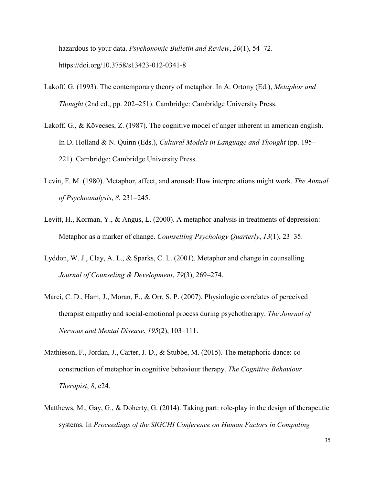hazardous to your data. *Psychonomic Bulletin and Review*, *20*(1), 54–72. https://doi.org/10.3758/s13423-012-0341-8

- Lakoff, G. (1993). The contemporary theory of metaphor. In A. Ortony (Ed.), *Metaphor and Thought* (2nd ed., pp. 202–251). Cambridge: Cambridge University Press.
- Lakoff, G., & Kövecses, Z. (1987). The cognitive model of anger inherent in american english. In D. Holland & N. Quinn (Eds.), *Cultural Models in Language and Thought* (pp. 195– 221). Cambridge: Cambridge University Press.
- Levin, F. M. (1980). Metaphor, affect, and arousal: How interpretations might work. *The Annual of Psychoanalysis*, *8*, 231–245.
- Levitt, H., Korman, Y., & Angus, L. (2000). A metaphor analysis in treatments of depression: Metaphor as a marker of change. *Counselling Psychology Quarterly*, *13*(1), 23–35.
- Lyddon, W. J., Clay, A. L., & Sparks, C. L. (2001). Metaphor and change in counselling. *Journal of Counseling & Development*, *79*(3), 269–274.
- Marci, C. D., Ham, J., Moran, E., & Orr, S. P. (2007). Physiologic correlates of perceived therapist empathy and social-emotional process during psychotherapy. *The Journal of Nervous and Mental Disease*, *195*(2), 103–111.
- Mathieson, F., Jordan, J., Carter, J. D., & Stubbe, M. (2015). The metaphoric dance: coconstruction of metaphor in cognitive behaviour therapy. *The Cognitive Behaviour Therapist*, *8*, e24.
- Matthews, M., Gay, G., & Doherty, G. (2014). Taking part: role-play in the design of therapeutic systems. In *Proceedings of the SIGCHI Conference on Human Factors in Computing*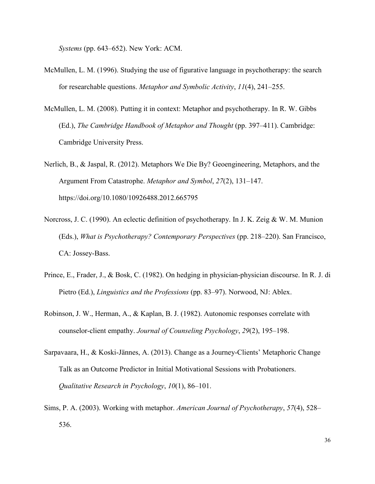*Systems* (pp. 643–652). New York: ACM.

- McMullen, L. M. (1996). Studying the use of figurative language in psychotherapy: the search for researchable questions. *Metaphor and Symbolic Activity*, *11*(4), 241–255.
- McMullen, L. M. (2008). Putting it in context: Metaphor and psychotherapy. In R. W. Gibbs (Ed.), *The Cambridge Handbook of Metaphor and Thought* (pp. 397–411). Cambridge: Cambridge University Press.
- Nerlich, B., & Jaspal, R. (2012). Metaphors We Die By? Geoengineering, Metaphors, and the Argument From Catastrophe. *Metaphor and Symbol*, *27*(2), 131–147. https://doi.org/10.1080/10926488.2012.665795
- Norcross, J. C. (1990). An eclectic definition of psychotherapy. In J. K. Zeig & W. M. Munion (Eds.), *What is Psychotherapy? Contemporary Perspectives* (pp. 218–220). San Francisco, CA: Jossey-Bass.
- Prince, E., Frader, J., & Bosk, C. (1982). On hedging in physician-physician discourse. In R. J. di Pietro (Ed.), *Linguistics and the Professions* (pp. 83–97). Norwood, NJ: Ablex.
- Robinson, J. W., Herman, A., & Kaplan, B. J. (1982). Autonomic responses correlate with counselor-client empathy. *Journal of Counseling Psychology*, *29*(2), 195–198.
- Sarpavaara, H., & Koski-Jännes, A. (2013). Change as a Journey-Clients' Metaphoric Change Talk as an Outcome Predictor in Initial Motivational Sessions with Probationers. *Qualitative Research in Psychology*, *10*(1), 86–101.
- Sims, P. A. (2003). Working with metaphor. *American Journal of Psychotherapy*, *57*(4), 528– 536.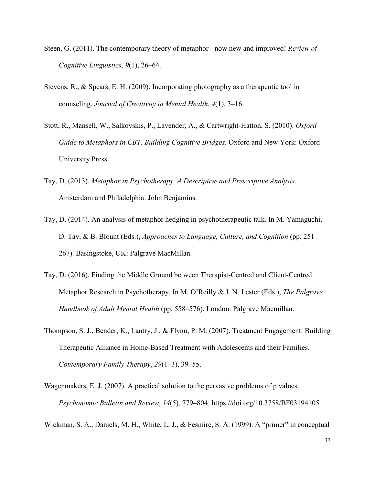- Steen, G. (2011). The contemporary theory of metaphor now new and improved! *Review of Cognitive Linguistics*, *9*(1), 26–64.
- Stevens, R., & Spears, E. H. (2009). Incorporating photography as a therapeutic tool in counseling. *Journal of Creativity in Mental Health*, *4*(1), 3–16.
- Stott, R., Mansell, W., Salkovskis, P., Lavender, A., & Cartwright-Hatton, S. (2010). *Oxford Guide to Metaphors in CBT. Building Cognitive Bridges.* Oxford and New York: Oxford University Press.
- Tay, D. (2013). *Metaphor in Psychotherapy. A Descriptive and Prescriptive Analysis.* Amsterdam and Philadelphia: John Benjamins.
- Tay, D. (2014). An analysis of metaphor hedging in psychotherapeutic talk. In M. Yamaguchi, D. Tay, & B. Blount (Eds.), *Approaches to Language, Culture, and Cognition* (pp. 251– 267). Basingstoke, UK: Palgrave MacMillan.
- Tay, D. (2016). Finding the Middle Ground between Therapist-Centred and Client-Centred Metaphor Research in Psychotherapy. In M. O'Reilly & J. N. Lester (Eds.), *The Palgrave Handbook of Adult Mental Health* (pp. 558–576). London: Palgrave Macmillan.
- Thompson, S. J., Bender, K., Lantry, J., & Flynn, P. M. (2007). Treatment Engagement: Building Therapeutic Alliance in Home-Based Treatment with Adolescents and their Families. *Contemporary Family Therapy*, *29*(1–3), 39–55.
- Wagenmakers, E. J. (2007). A practical solution to the pervasive problems of p values. *Psychonomic Bulletin and Review*, *14*(5), 779–804. https://doi.org/10.3758/BF03194105

Wickman, S. A., Daniels, M. H., White, L. J., & Fesmire, S. A. (1999). A "primer" in conceptual